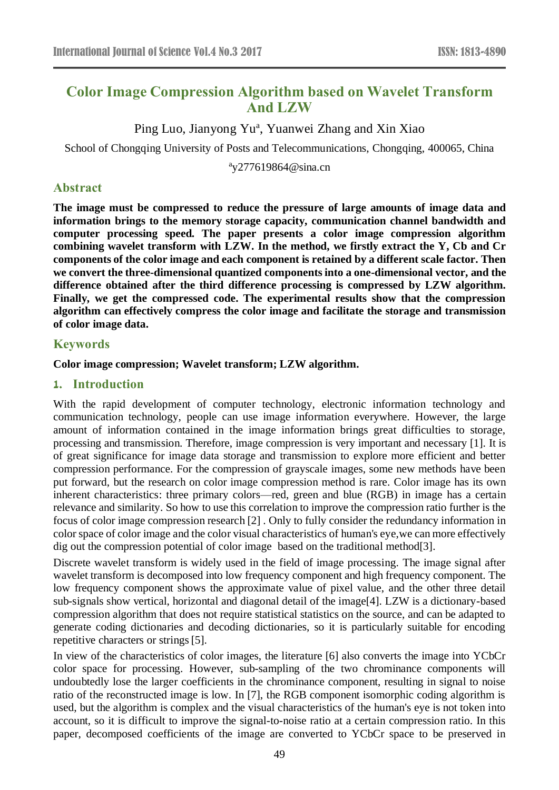# **Color Image Compression Algorithm based on Wavelet Transform And LZW**

Ping Luo, Jianyong Yu<sup>a</sup>, Yuanwei Zhang and Xin Xiao

School of Chongqing University of Posts and Telecommunications, Chongqing, 400065, China

<sup>a</sup>y277619864@sina.cn

## **Abstract**

**The image must be compressed to reduce the pressure of large amounts of image data and information brings to the memory storage capacity, communication channel bandwidth and computer processing speed. The paper presents a color image compression algorithm combining wavelet transform with LZW. In the method, we firstly extract the Y, Cb and Cr components of the color image and each component is retained by a different scale factor. Then we convert the three-dimensional quantized components into a one-dimensional vector, and the difference obtained after the third difference processing is compressed by LZW algorithm. Finally, we get the compressed code. The experimental results show that the compression algorithm can effectively compress the color image and facilitate the storage and transmission of color image data.**

## **Keywords**

### **Color image compression; Wavelet transform; LZW algorithm.**

### **1. Introduction**

With the rapid development of computer technology, electronic information technology and communication technology, people can use image information everywhere. However, the large amount of information contained in the image information brings great difficulties to storage, processing and transmission. Therefore, image compression is very important and necessary [1]. It is of great significance for image data storage and transmission to explore more efficient and better compression performance. For the compression of grayscale images, some new methods have been put forward, but the research on color image compression method is rare. Color image has its own inherent characteristics: three primary colors—red, green and blue (RGB) in image has a certain relevance and similarity. So how to use this correlation to improve the compression ratio further is the focus of color image compression research [2] . Only to fully consider the redundancy information in color space of color image and the color visual characteristics of human's eye,we can more effectively dig out the compression potential of color image based on the traditional method[3].

Discrete wavelet transform is widely used in the field of image processing. The image signal after wavelet transform is decomposed into low frequency component and high frequency component. The low frequency component shows the approximate value of pixel value, and the other three detail sub-signals show vertical, horizontal and diagonal detail of the image[4]. LZW is a dictionary-based compression algorithm that does not require statistical statistics on the source, and can be adapted to generate coding dictionaries and decoding dictionaries, so it is particularly suitable for encoding repetitive characters or strings [5].

In view of the characteristics of color images, the literature [6] also converts the image into YCbCr color space for processing. However, sub-sampling of the two chrominance components will undoubtedly lose the larger coefficients in the chrominance component, resulting in signal to noise ratio of the reconstructed image is low. In [7], the RGB component isomorphic coding algorithm is used, but the algorithm is complex and the visual characteristics of the human's eye is not token into account, so it is difficult to improve the signal-to-noise ratio at a certain compression ratio. In this paper, decomposed coefficients of the image are converted to YCbCr space to be preserved in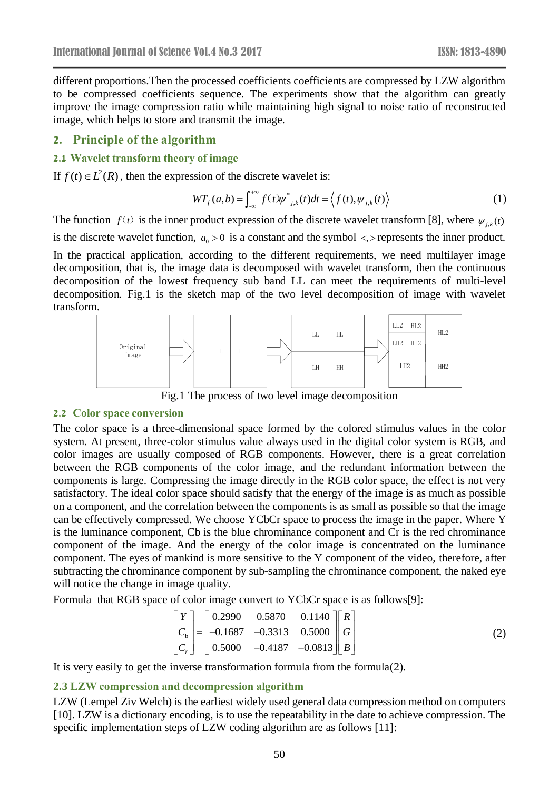different proportions.Then the processed coefficients coefficients are compressed by LZW algorithm to be compressed coefficients sequence. The experiments show that the algorithm can greatly improve the image compression ratio while maintaining high signal to noise ratio of reconstructed image, which helps to store and transmit the image.

### **2. Principle of the algorithm**

### **2.1 Wavelet transform theory of image**

If  $f(t) \in L^2(R)$ , then the expression of the discrete wavelet is:

$$
WT_f(a,b) = \int_{-\infty}^{+\infty} f(t) \psi^*_{j,k}(t) dt = \left\langle f(t), \psi_{j,k}(t) \right\rangle
$$
 (1)

The function  $f(t)$  is the inner product expression of the discrete wavelet transform [8], where  $\psi_{j,k}(t)$ is the discrete wavelet function,  $a_0 > 0$  is a constant and the symbol  $\lt$ , pepresents the inner product. In the practical application, according to the different requirements, we need multilayer image decomposition, that is, the image data is decomposed with wavelet transform, then the continuous decomposition of the lowest frequency sub band LL can meet the requirements of multi-level decomposition. Fig.1 is the sketch map of the two level decomposition of image with wavelet transform.



Fig.1 The process of two level image decomposition

#### **2.2 Color space conversion**

The color space is a three-dimensional space formed by the colored stimulus values in the color system. At present, three-color stimulus value always used in the digital color system is RGB, and color images are usually composed of RGB components. However, there is a great correlation between the RGB components of the color image, and the redundant information between the components is large. Compressing the image directly in the RGB color space, the effect is not very satisfactory. The ideal color space should satisfy that the energy of the image is as much as possible on a component, and the correlation between the components is as small as possible so that the image can be effectively compressed. We choose YCbCr space to process the image in the paper. Where Y is the luminance component, Cb is the blue chrominance component and Cr is the red chrominance component of the image. And the energy of the color image is concentrated on the luminance component. The eyes of mankind is more sensitive to the Y component of the video, therefore, after subtracting the chrominance component by sub-sampling the chrominance component, the naked eye will notice the change in image quality.

Formula that RGB space of color image convert to YCbCr space is as follows[9]:

$$
\begin{bmatrix} Y \\ C_{\text{b}} \\ C_{\text{r}} \end{bmatrix} = \begin{bmatrix} 0.2990 & 0.5870 & 0.1140 \\ -0.1687 & -0.3313 & 0.5000 \\ 0.5000 & -0.4187 & -0.0813 \end{bmatrix} \begin{bmatrix} R \\ G \\ B \end{bmatrix}
$$
 (2)

It is very easily to get the inverse transformation formula from the formula(2).

### **2.3 LZW compression and decompression algorithm**

LZW (Lempel Ziv Welch) is the earliest widely used general data compression method on computers [10]. LZW is a dictionary encoding, is to use the repeatability in the date to achieve compression. The specific implementation steps of LZW coding algorithm are as follows [11]: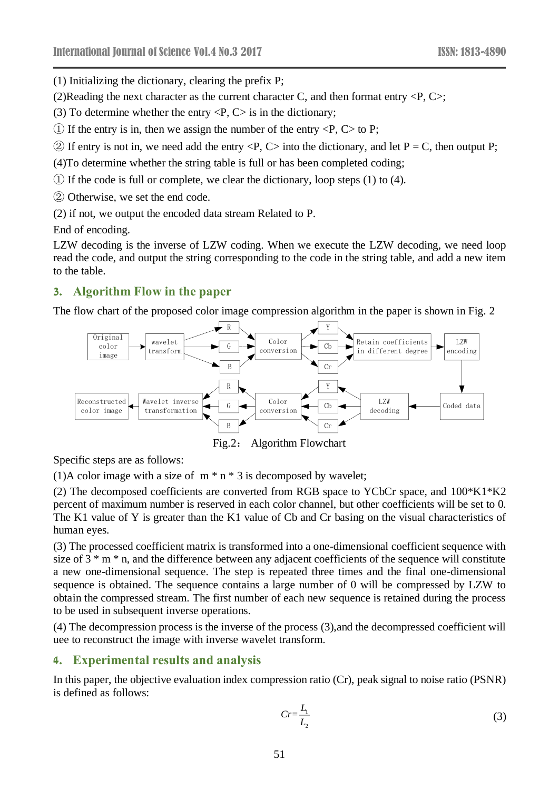(1) Initializing the dictionary, clearing the prefix P;

(2)Reading the next character as the current character C, and then format entry  $\langle P, C \rangle$ ;

- (3) To determine whether the entry  $\langle P, C \rangle$  is in the dictionary;
- $\Omega$  If the entry is in, then we assign the number of the entry  $\langle P, C \rangle$  to P;
- $\circled{2}$  If entry is not in, we need add the entry  $\langle P, C \rangle$  into the dictionary, and let P = C, then output P;

(4)To determine whether the string table is full or has been completed coding;

- ① If the code is full or complete, we clear the dictionary, loop steps (1) to (4).
- ② Otherwise, we set the end code.
- (2) if not, we output the encoded data stream Related to P.

End of encoding.

LZW decoding is the inverse of LZW coding. When we execute the LZW decoding, we need loop read the code, and output the string corresponding to the code in the string table, and add a new item to the table.

# **3. Algorithm Flow in the paper**

The flow chart of the proposed color image compression algorithm in the paper is shown in Fig. 2



Fig.2: Algorithm Flowchart

Specific steps are as follows:

(1)A color image with a size of  $m * n * 3$  is decomposed by wavelet;

(2) The decomposed coefficients are converted from RGB space to YCbCr space, and 100\*K1\*K2 percent of maximum number is reserved in each color channel, but other coefficients will be set to 0. The K1 value of Y is greater than the K1 value of Cb and Cr basing on the visual characteristics of human eyes.

(3) The processed coefficient matrix is transformed into a one-dimensional coefficient sequence with size of  $3 * m * n$ , and the difference between any adjacent coefficients of the sequence will constitute a new one-dimensional sequence. The step is repeated three times and the final one-dimensional sequence is obtained. The sequence contains a large number of 0 will be compressed by LZW to obtain the compressed stream. The first number of each new sequence is retained during the process to be used in subsequent inverse operations.

(4) The decompression process is the inverse of the process (3),and the decompressed coefficient will uee to reconstruct the image with inverse wavelet transform.

### **4. Experimental results and analysis**

In this paper, the objective evaluation index compression ratio (Cr), peak signal to noise ratio (PSNR) is defined as follows:

$$
Cr = \frac{L_1}{L_2} \tag{3}
$$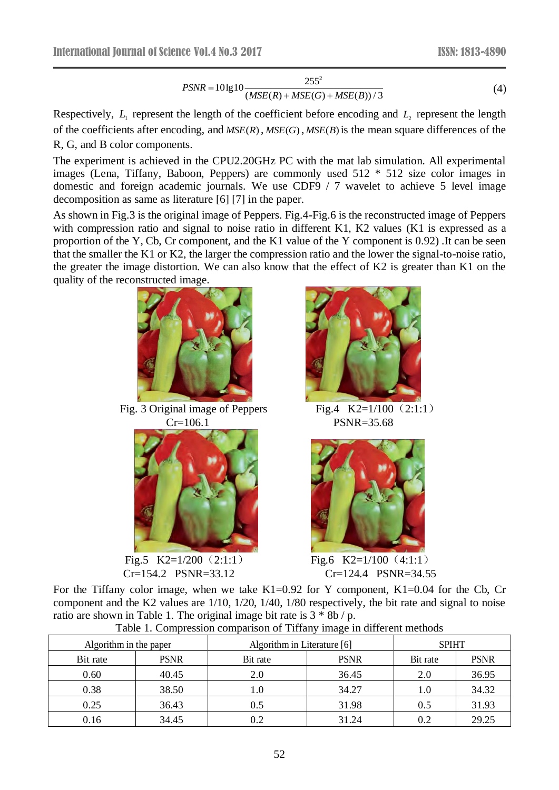$$
PSNR = 10 \lg 10 \frac{255^2}{(MSE(R) + MSE(G) + MSE(B))/3}
$$
(4)

Respectively,  $L_1$  represent the length of the coefficient before encoding and  $L_2$  represent the length of the coefficients after encoding, and  $MSE(R)$ ,  $MSE(G)$ ,  $MSE(B)$  is the mean square differences of the R, G, and B color components.

The experiment is achieved in the CPU2.20GHz PC with the mat lab simulation. All experimental images (Lena, Tiffany, Baboon, Peppers) are commonly used 512 \* 512 size color images in domestic and foreign academic journals. We use CDF9 / 7 wavelet to achieve 5 level image decomposition as same as literature [6] [7] in the paper.

As shown in Fig.3 is the original image of Peppers. Fig.4-Fig.6 is the reconstructed image of Peppers with compression ratio and signal to noise ratio in different K1, K2 values (K1 is expressed as a proportion of the Y, Cb, Cr component, and the K1 value of the Y component is 0.92) .It can be seen that the smaller the K1 or K2, the larger the compression ratio and the lower the signal-to-noise ratio, the greater the image distortion. We can also know that the effect of K2 is greater than K1 on the quality of the reconstructed image.



Fig. 3 Original image of Peppers Fig.4  $K2=1/100$  (2:1:1) Cr=106.1 PSNR=35.68



Fig.5 K2=1/200  $(2:1:1)$  Fig.6 K2=1/100  $(4:1:1)$ 





Cr=154.2 PSNR=33.12 Cr=124.4 PSNR=34.55

For the Tiffany color image, when we take K1=0.92 for Y component, K1=0.04 for the Cb, Cr component and the K2 values are 1/10, 1/20, 1/40, 1/80 respectively, the bit rate and signal to noise ratio are shown in Table 1. The original image bit rate is  $3 * 8b / p$ .

| Algorithm in the paper |             | Algorithm in Literature [6] | <b>SPIHT</b> |          |             |
|------------------------|-------------|-----------------------------|--------------|----------|-------------|
| Bit rate               | <b>PSNR</b> | Bit rate                    | <b>PSNR</b>  | Bit rate | <b>PSNR</b> |
| 0.60                   | 40.45       | 2.0                         | 36.45        | 2.0      | 36.95       |
| 0.38                   | 38.50       | 1.0                         | 34.27        | 1.0      | 34.32       |
| 0.25                   | 36.43       | 0.5                         | 31.98        | 0.5      | 31.93       |
| 0.16                   | 34.45       | 0.2                         | 31.24        | 0.2      | 29.25       |

Table 1. Compression comparison of Tiffany image in different methods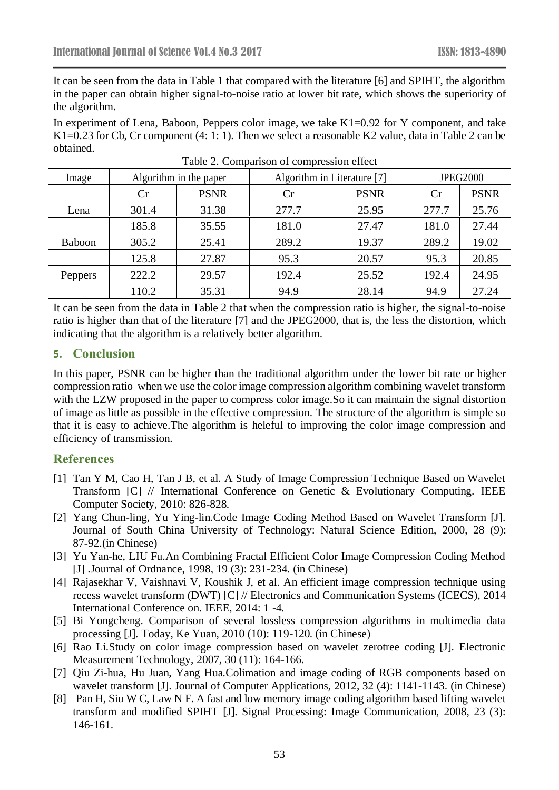It can be seen from the data in Table 1 that compared with the literature [6] and SPIHT, the algorithm in the paper can obtain higher signal-to-noise ratio at lower bit rate, which shows the superiority of the algorithm.

In experiment of Lena, Baboon, Peppers color image, we take K1=0.92 for Y component, and take K1=0.23 for Cb, Cr component (4: 1: 1). Then we select a reasonable K2 value, data in Table 2 can be obtained.

| Image         | Algorithm in the paper |             | Algorithm in Literature [7] |             | <b>JPEG2000</b> |             |
|---------------|------------------------|-------------|-----------------------------|-------------|-----------------|-------------|
|               | Cr                     | <b>PSNR</b> | Cr                          | <b>PSNR</b> | Cr              | <b>PSNR</b> |
| Lena          | 301.4                  | 31.38       | 277.7                       | 25.95       | 277.7           | 25.76       |
|               | 185.8                  | 35.55       | 181.0                       | 27.47       | 181.0           | 27.44       |
| <b>Baboon</b> | 305.2                  | 25.41       | 289.2                       | 19.37       | 289.2           | 19.02       |
|               | 125.8                  | 27.87       | 95.3                        | 20.57       | 95.3            | 20.85       |
| Peppers       | 222.2                  | 29.57       | 192.4                       | 25.52       | 192.4           | 24.95       |
|               | 110.2                  | 35.31       | 94.9                        | 28.14       | 94.9            | 27.24       |

Table 2. Comparison of compression effect

It can be seen from the data in Table 2 that when the compression ratio is higher, the signal-to-noise ratio is higher than that of the literature [7] and the JPEG2000, that is, the less the distortion, which indicating that the algorithm is a relatively better algorithm.

# **5. Conclusion**

In this paper, PSNR can be higher than the traditional algorithm under the lower bit rate or higher compression ratio when we use the color image compression algorithm combining wavelet transform with the LZW proposed in the paper to compress color image. So it can maintain the signal distortion of image as little as possible in the effective compression. The structure of the algorithm is simple so that it is easy to achieve.The algorithm is heleful to improving the color image compression and efficiency of transmission.

# **References**

- [1] Tan Y M, Cao H, Tan J B, et al. A Study of Image Compression Technique Based on Wavelet Transform [C] // International Conference on Genetic & Evolutionary Computing. IEEE Computer Society, 2010: 826-828.
- [2] Yang Chun-ling, Yu Ying-lin.Code Image Coding Method Based on Wavelet Transform [J]. Journal of South China University of Technology: Natural Science Edition, 2000, 28 (9): 87-92.(in Chinese)
- [3] Yu Yan-he, LIU Fu.An Combining Fractal Efficient Color Image Compression Coding Method [J] .Journal of Ordnance, 1998, 19 (3): 231-234. (in Chinese)
- [4] Rajasekhar V, Vaishnavi V, Koushik J, et al. An efficient image compression technique using recess wavelet transform (DWT) [C] // Electronics and Communication Systems (ICECS), 2014 International Conference on. IEEE, 2014: 1 -4.
- [5] Bi Yongcheng. Comparison of several lossless compression algorithms in multimedia data processing [J]. Today, Ke Yuan, 2010 (10): 119-120. (in Chinese)
- [6] Rao Li.Study on color image compression based on wavelet zerotree coding [J]. Electronic Measurement Technology, 2007, 30 (11): 164-166.
- [7] Qiu Zi-hua, Hu Juan, Yang Hua.Colimation and image coding of RGB components based on wavelet transform [J]. Journal of Computer Applications, 2012, 32 (4): 1141-1143. (in Chinese)
- [8] Pan H, Siu W C, Law N F. A fast and low memory image coding algorithm based lifting wavelet transform and modified SPIHT [J]. Signal Processing: Image Communication, 2008, 23 (3): 146-161.